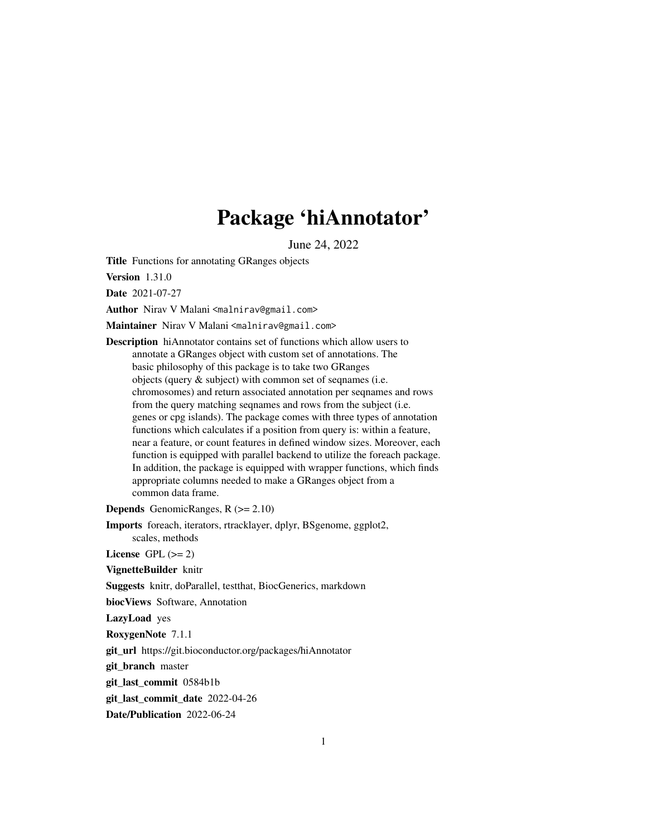# Package 'hiAnnotator'

June 24, 2022

<span id="page-0-0"></span>Title Functions for annotating GRanges objects

Version 1.31.0

Date 2021-07-27

Author Nirav V Malani <malnirav@gmail.com>

Maintainer Nirav V Malani <malnirav@gmail.com>

Description hiAnnotator contains set of functions which allow users to annotate a GRanges object with custom set of annotations. The basic philosophy of this package is to take two GRanges objects (query & subject) with common set of seqnames (i.e. chromosomes) and return associated annotation per seqnames and rows from the query matching seqnames and rows from the subject (i.e. genes or cpg islands). The package comes with three types of annotation functions which calculates if a position from query is: within a feature, near a feature, or count features in defined window sizes. Moreover, each function is equipped with parallel backend to utilize the foreach package. In addition, the package is equipped with wrapper functions, which finds appropriate columns needed to make a GRanges object from a common data frame.

**Depends** GenomicRanges,  $R$  ( $>= 2.10$ )

Imports foreach, iterators, rtracklayer, dplyr, BSgenome, ggplot2, scales, methods

License GPL  $(>= 2)$ 

VignetteBuilder knitr

Suggests knitr, doParallel, testthat, BiocGenerics, markdown

biocViews Software, Annotation

LazyLoad yes

RoxygenNote 7.1.1

git\_url https://git.bioconductor.org/packages/hiAnnotator

git\_branch master

git\_last\_commit 0584b1b

git last commit date 2022-04-26

Date/Publication 2022-06-24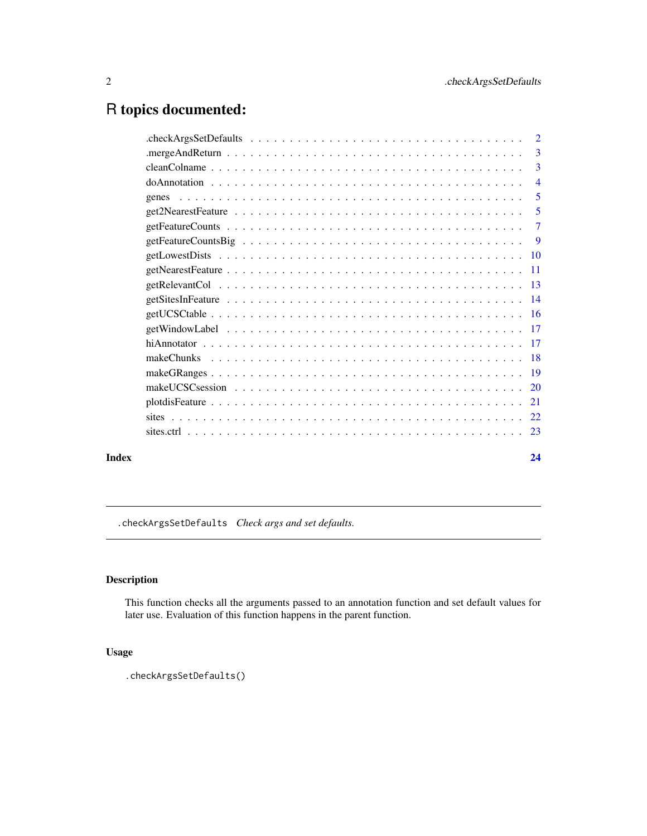# <span id="page-1-0"></span>R topics documented:

| $checkArgs Set Defaults \dots \dots \dots \dots \dots \dots \dots \dots \dots \dots \dots \dots \dots \dots$ | $\overline{2}$  |
|--------------------------------------------------------------------------------------------------------------|-----------------|
|                                                                                                              | 3               |
|                                                                                                              | 3               |
|                                                                                                              | $\overline{4}$  |
| genes                                                                                                        | 5               |
|                                                                                                              | 5               |
|                                                                                                              | $\overline{7}$  |
|                                                                                                              | 9               |
|                                                                                                              | $\overline{10}$ |
|                                                                                                              | -11             |
|                                                                                                              |                 |
|                                                                                                              |                 |
|                                                                                                              |                 |
|                                                                                                              | $\overline{17}$ |
|                                                                                                              |                 |
| makeChunks                                                                                                   | - 18            |
|                                                                                                              |                 |
|                                                                                                              |                 |
|                                                                                                              |                 |
|                                                                                                              |                 |
|                                                                                                              |                 |
|                                                                                                              |                 |

# **Index** [24](#page-23-0)

.checkArgsSetDefaults *Check args and set defaults.*

# Description

This function checks all the arguments passed to an annotation function and set default values for later use. Evaluation of this function happens in the parent function.

# Usage

```
.checkArgsSetDefaults()
```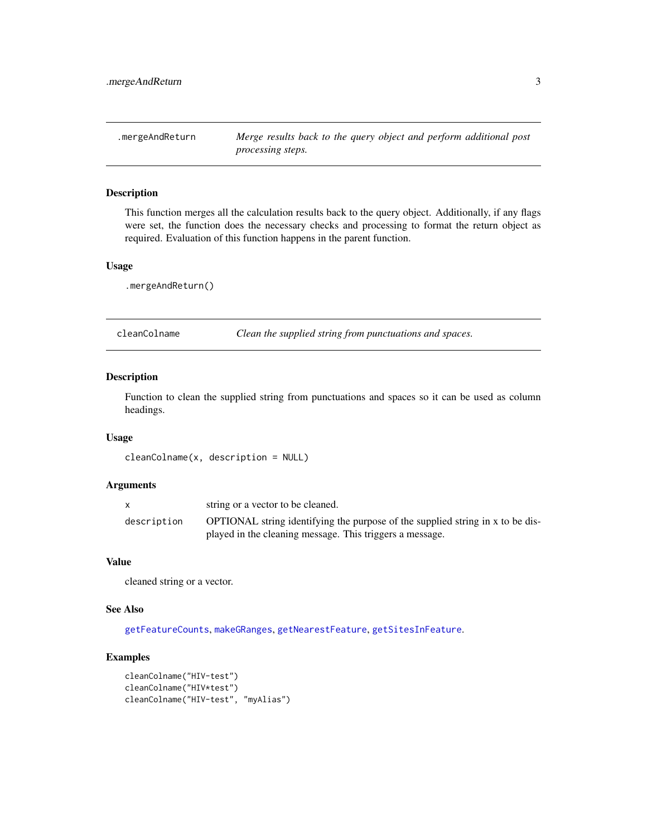<span id="page-2-0"></span>.mergeAndReturn *Merge results back to the query object and perform additional post processing steps.*

# Description

This function merges all the calculation results back to the query object. Additionally, if any flags were set, the function does the necessary checks and processing to format the return object as required. Evaluation of this function happens in the parent function.

#### Usage

.mergeAndReturn()

cleanColname *Clean the supplied string from punctuations and spaces.*

# Description

Function to clean the supplied string from punctuations and spaces so it can be used as column headings.

#### Usage

```
cleanColname(x, description = NULL)
```
#### Arguments

|             | string or a vector to be cleaned.                                              |
|-------------|--------------------------------------------------------------------------------|
| description | OPTIONAL string identifying the purpose of the supplied string in x to be dis- |
|             | played in the cleaning message. This triggers a message.                       |

#### Value

cleaned string or a vector.

# See Also

[getFeatureCounts](#page-6-1), [makeGRanges](#page-18-1), [getNearestFeature](#page-10-1), [getSitesInFeature](#page-13-1).

```
cleanColname("HIV-test")
cleanColname("HIV*test")
cleanColname("HIV-test", "myAlias")
```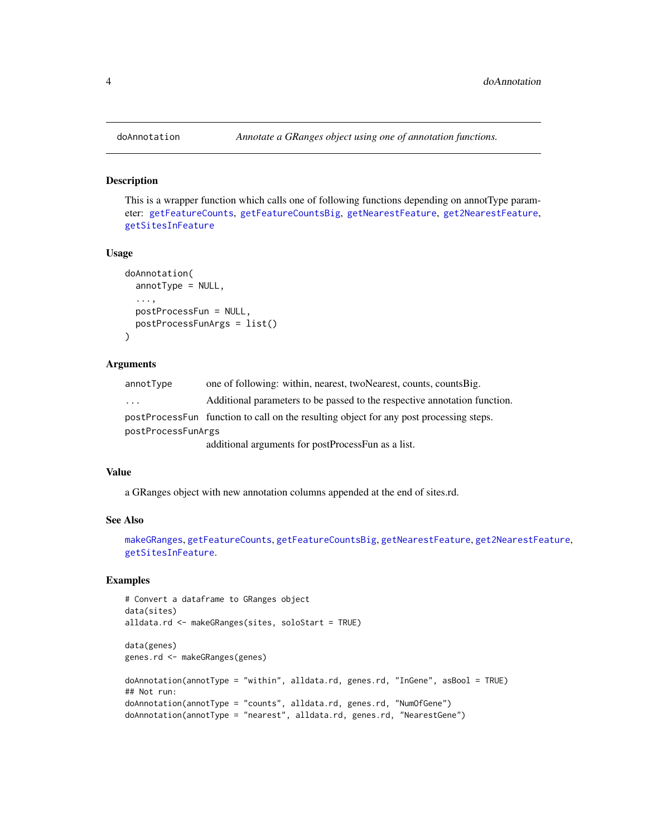This is a wrapper function which calls one of following functions depending on annotType parameter: [getFeatureCounts](#page-6-1), [getFeatureCountsBig](#page-8-1), [getNearestFeature](#page-10-1), [get2NearestFeature](#page-4-1), [getSitesInFeature](#page-13-1)

#### Usage

```
doAnnotation(
  annotType = NULL,
  ...,
 postProcessFun = NULL,
 postProcessFunArgs = list()
)
```
#### Arguments

| annotType               | one of following: within, nearest, twoNearest, counts, counts Big.                     |
|-------------------------|----------------------------------------------------------------------------------------|
| $\cdot$ $\cdot$ $\cdot$ | Additional parameters to be passed to the respective annotation function.              |
|                         | postProcessFun function to call on the resulting object for any post processing steps. |
| postProcessFunArgs      |                                                                                        |
|                         | additional arguments for postProcessFun as a list.                                     |

#### Value

a GRanges object with new annotation columns appended at the end of sites.rd.

# See Also

```
makeGRanges, getFeatureCounts, getFeatureCountsBig, getNearestFeature, get2NearestFeature,
getSitesInFeature.
```

```
# Convert a dataframe to GRanges object
data(sites)
alldata.rd <- makeGRanges(sites, soloStart = TRUE)
data(genes)
genes.rd <- makeGRanges(genes)
doAnnotation(annotType = "within", alldata.rd, genes.rd, "InGene", asBool = TRUE)
## Not run:
doAnnotation(annotType = "counts", alldata.rd, genes.rd, "NumOfGene")
doAnnotation(annotType = "nearest", alldata.rd, genes.rd, "NearestGene")
```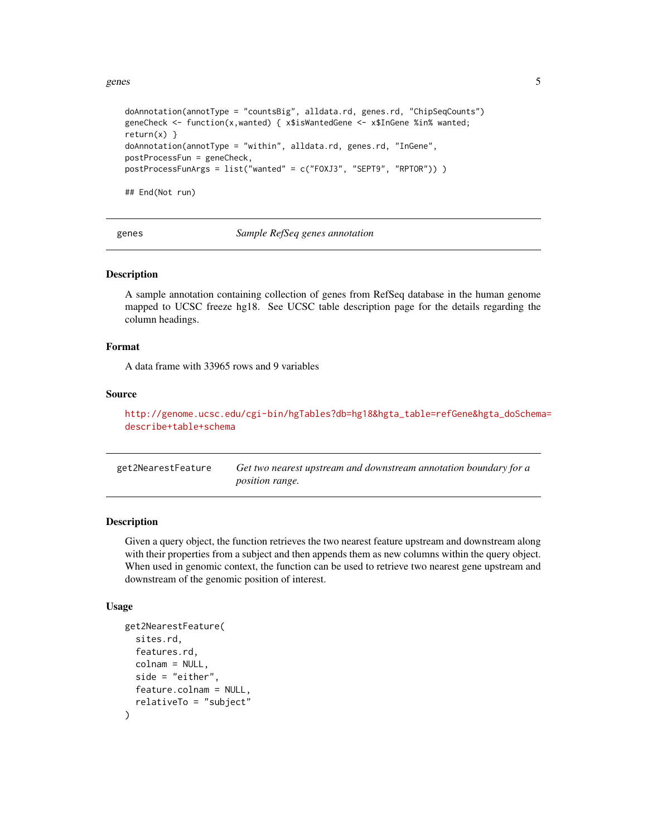<span id="page-4-0"></span>genes 5

```
doAnnotation(annotType = "countsBig", alldata.rd, genes.rd, "ChipSeqCounts")
geneCheck <- function(x,wanted) { x$isWantedGene <- x$InGene %in% wanted;
return(x) }
doAnnotation(annotType = "within", alldata.rd, genes.rd, "InGene",
postProcessFun = geneCheck,
postProcessFunArgs = list("wanted" = c("FOXJ3", "SEPT9", "RPTOR")) )
## End(Not run)
```
genes *Sample RefSeq genes annotation*

#### Description

A sample annotation containing collection of genes from RefSeq database in the human genome mapped to UCSC freeze hg18. See UCSC table description page for the details regarding the column headings.

#### Format

A data frame with 33965 rows and 9 variables

# Source

[http://genome.ucsc.edu/cgi-bin/hgTables?db=hg18&hgta\\_table=refGene&hgta\\_doSchema](http://genome.ucsc.edu/cgi-bin/hgTables?db=hg18&hgta_table=refGene&hgta_doSchema=describe+table+schema)= [describe+table+schema](http://genome.ucsc.edu/cgi-bin/hgTables?db=hg18&hgta_table=refGene&hgta_doSchema=describe+table+schema)

<span id="page-4-1"></span>

| get2NearestFeature | Get two nearest upstream and downstream annotation boundary for a |
|--------------------|-------------------------------------------------------------------|
|                    | <i>position range.</i>                                            |

# Description

Given a query object, the function retrieves the two nearest feature upstream and downstream along with their properties from a subject and then appends them as new columns within the query object. When used in genomic context, the function can be used to retrieve two nearest gene upstream and downstream of the genomic position of interest.

#### Usage

```
get2NearestFeature(
  sites.rd,
  features.rd,
  colnam = NULL,
  side = "either",
 feature.colnam = NULL,
  relativeTo = "subject"
)
```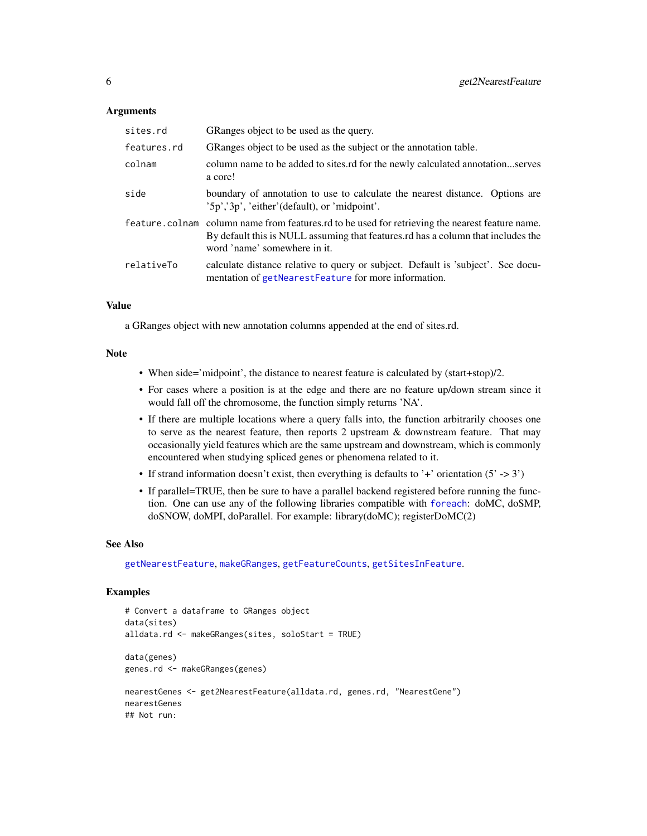#### <span id="page-5-0"></span>Arguments

| sites.rd    | GRanges object to be used as the query.                                                                                                                                                                             |
|-------------|---------------------------------------------------------------------------------------------------------------------------------------------------------------------------------------------------------------------|
| features.rd | GRanges object to be used as the subject or the annotation table.                                                                                                                                                   |
| colnam      | column name to be added to sites.rd for the newly calculated annotationserves<br>a core!                                                                                                                            |
| side        | boundary of annotation to use to calculate the nearest distance. Options are<br>$'5p'$ , $'3p'$ , 'either' (default), or 'midpoint'.                                                                                |
|             | feature.colnam column name from features.rd to be used for retrieving the nearest feature name.<br>By default this is NULL assuming that features rd has a column that includes the<br>word 'name' somewhere in it. |
| relativeTo  | calculate distance relative to query or subject. Default is 'subject'. See docu-<br>mentation of getNearestFeature for more information.                                                                            |

## Value

a GRanges object with new annotation columns appended at the end of sites.rd.

#### Note

- When side='midpoint', the distance to nearest feature is calculated by (start+stop)/2.
- For cases where a position is at the edge and there are no feature up/down stream since it would fall off the chromosome, the function simply returns 'NA'.
- If there are multiple locations where a query falls into, the function arbitrarily chooses one to serve as the nearest feature, then reports  $2$  upstream  $\&$  downstream feature. That may occasionally yield features which are the same upstream and downstream, which is commonly encountered when studying spliced genes or phenomena related to it.
- If strand information doesn't exist, then everything is defaults to '+' orientation  $(5' > 3')$
- If parallel=TRUE, then be sure to have a parallel backend registered before running the function. One can use any of the following libraries compatible with [foreach](#page-0-0): doMC, doSMP, doSNOW, doMPI, doParallel. For example: library(doMC); registerDoMC(2)

#### See Also

[getNearestFeature](#page-10-1), [makeGRanges](#page-18-1), [getFeatureCounts](#page-6-1), [getSitesInFeature](#page-13-1).

```
# Convert a dataframe to GRanges object
data(sites)
alldata.rd <- makeGRanges(sites, soloStart = TRUE)
data(genes)
genes.rd <- makeGRanges(genes)
nearestGenes <- get2NearestFeature(alldata.rd, genes.rd, "NearestGene")
nearestGenes
## Not run:
```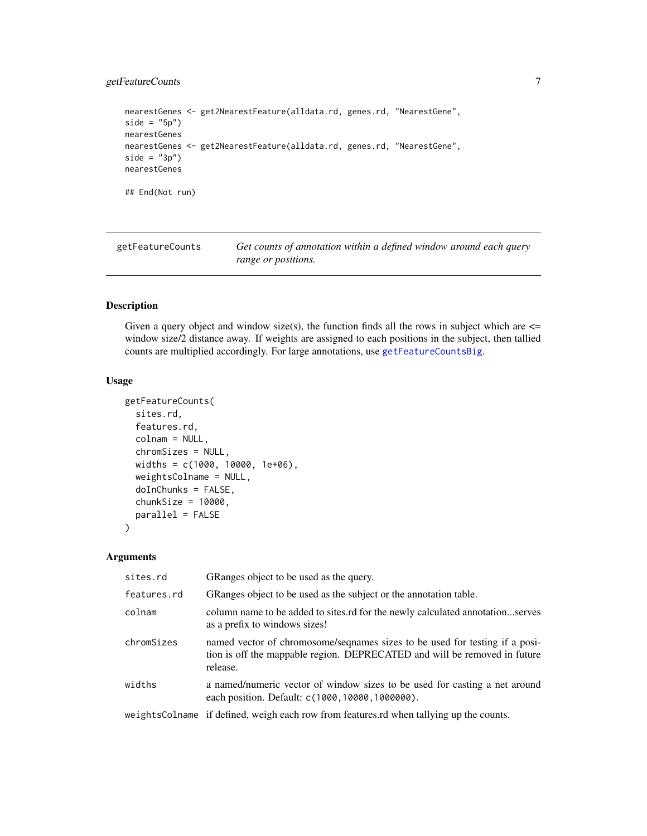# <span id="page-6-0"></span>getFeatureCounts 7

```
nearestGenes <- get2NearestFeature(alldata.rd, genes.rd, "NearestGene",
side = "5p")
nearestGenes
nearestGenes <- get2NearestFeature(alldata.rd, genes.rd, "NearestGene",
side = "3p")nearestGenes
## End(Not run)
```
<span id="page-6-1"></span>getFeatureCounts *Get counts of annotation within a defined window around each query range or positions.*

# Description

Given a query object and window size(s), the function finds all the rows in subject which are  $\leq$ window size/2 distance away. If weights are assigned to each positions in the subject, then tallied counts are multiplied accordingly. For large annotations, use [getFeatureCountsBig](#page-8-1).

#### Usage

```
getFeatureCounts(
  sites.rd,
  features.rd,
  colnam = NULL,
  chromSizes = NULL,
  widths = c(1000, 10000, 1e+06),
  weightsColname = NULL,
  doInChunks = FALSE,
  chunkSize = 10000,parallel = FALSE
)
```
# Arguments

| sites.rd    | GRanges object to be used as the query.                                                                                                                               |
|-------------|-----------------------------------------------------------------------------------------------------------------------------------------------------------------------|
| features.rd | GRanges object to be used as the subject or the annotation table.                                                                                                     |
| colnam      | column name to be added to sites.rd for the newly calculated annotationserves<br>as a prefix to windows sizes!                                                        |
| chromSizes  | named vector of chromosome/sequaries sizes to be used for testing if a posi-<br>tion is off the mappable region. DEPRECATED and will be removed in future<br>release. |
| widths      | a named/numeric vector of window sizes to be used for casting a net around<br>each position. Default: c(1000, 10000, 1000000).                                        |
|             | weightsColname if defined, weigh each row from features.rd when tallying up the counts.                                                                               |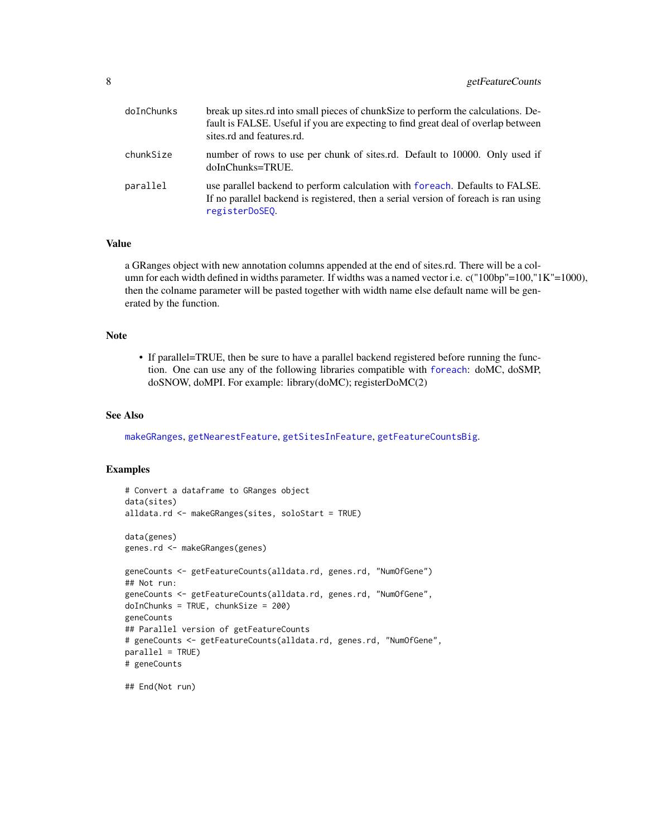<span id="page-7-0"></span>

| doInChunks | break up sites rd into small pieces of chunk Size to perform the calculations. De-<br>fault is FALSE. Useful if you are expecting to find great deal of overlap between<br>sites.rd and features.rd. |
|------------|------------------------------------------------------------------------------------------------------------------------------------------------------------------------------------------------------|
| chunkSize  | number of rows to use per chunk of sites.rd. Default to 10000. Only used if<br>doInChunks=TRUE.                                                                                                      |
| parallel   | use parallel backend to perform calculation with foreach. Defaults to FALSE.<br>If no parallel backend is registered, then a serial version of foreach is ran using<br>registerDoSEQ.                |

# Value

a GRanges object with new annotation columns appended at the end of sites.rd. There will be a column for each width defined in widths parameter. If widths was a named vector i.e. c("100bp"=100,"1K"=1000), then the colname parameter will be pasted together with width name else default name will be generated by the function.

# Note

• If parallel=TRUE, then be sure to have a parallel backend registered before running the function. One can use any of the following libraries compatible with [foreach](#page-0-0): doMC, doSMP, doSNOW, doMPI. For example: library(doMC); registerDoMC(2)

#### See Also

[makeGRanges](#page-18-1), [getNearestFeature](#page-10-1), [getSitesInFeature](#page-13-1), [getFeatureCountsBig](#page-8-1).

# Examples

```
# Convert a dataframe to GRanges object
data(sites)
alldata.rd <- makeGRanges(sites, soloStart = TRUE)
data(genes)
genes.rd <- makeGRanges(genes)
geneCounts <- getFeatureCounts(alldata.rd, genes.rd, "NumOfGene")
## Not run:
geneCounts <- getFeatureCounts(alldata.rd, genes.rd, "NumOfGene",
doInChunks = TRUE, chunkSize = 200)
geneCounts
## Parallel version of getFeatureCounts
# geneCounts <- getFeatureCounts(alldata.rd, genes.rd, "NumOfGene",
parallel = TRUE)
# geneCounts
```
## End(Not run)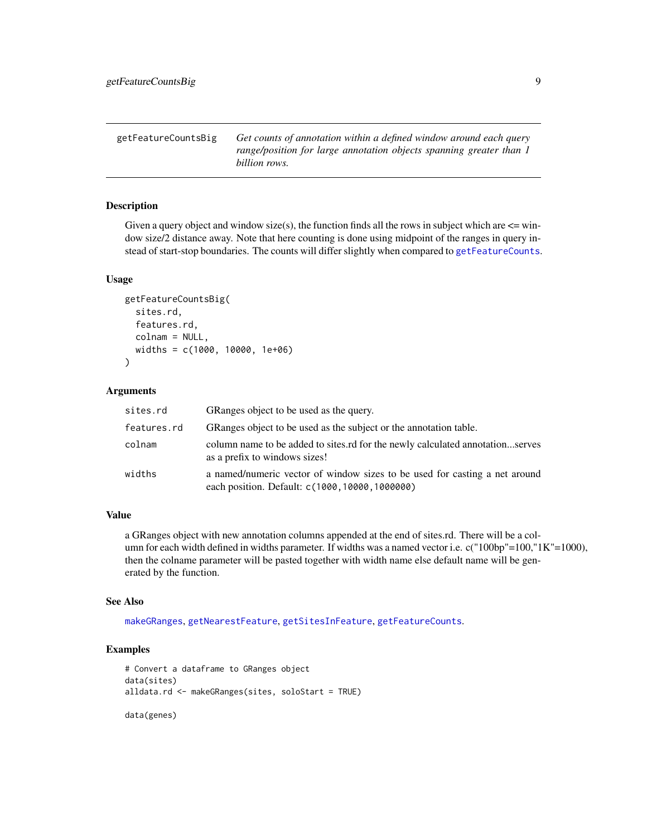<span id="page-8-1"></span><span id="page-8-0"></span>getFeatureCountsBig *Get counts of annotation within a defined window around each query range/position for large annotation objects spanning greater than 1 billion rows.*

# Description

Given a query object and window size(s), the function finds all the rows in subject which are  $\leq$  window size/2 distance away. Note that here counting is done using midpoint of the ranges in query instead of start-stop boundaries. The counts will differ slightly when compared to [getFeatureCounts](#page-6-1).

# Usage

```
getFeatureCountsBig(
  sites.rd,
  features.rd,
  colnam = NULL,
  widths = c(1000, 10000, 1e+06)
)
```
#### Arguments

| sites.rd    | GRanges object to be used as the query.                                                                                       |
|-------------|-------------------------------------------------------------------------------------------------------------------------------|
| features.rd | GRanges object to be used as the subject or the annotation table.                                                             |
| colnam      | column name to be added to sites.rd for the newly calculated annotationserves<br>as a prefix to windows sizes!                |
| widths      | a named/numeric vector of window sizes to be used for casting a net around<br>each position. Default: c(1000, 10000, 1000000) |

#### Value

a GRanges object with new annotation columns appended at the end of sites.rd. There will be a column for each width defined in widths parameter. If widths was a named vector i.e. c("100bp"=100,"1K"=1000), then the colname parameter will be pasted together with width name else default name will be generated by the function.

#### See Also

[makeGRanges](#page-18-1), [getNearestFeature](#page-10-1), [getSitesInFeature](#page-13-1), [getFeatureCounts](#page-6-1).

# Examples

```
# Convert a dataframe to GRanges object
data(sites)
alldata.rd <- makeGRanges(sites, soloStart = TRUE)
```
data(genes)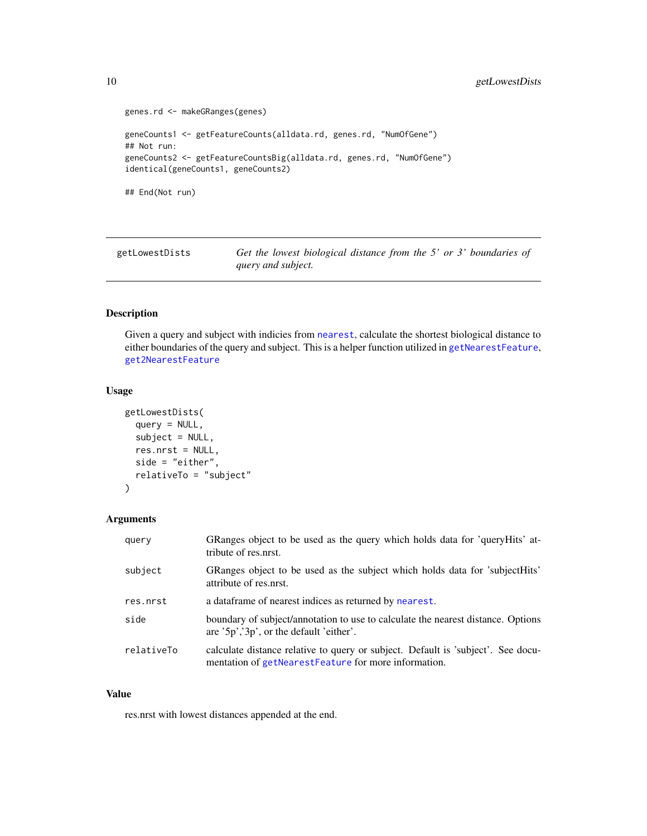```
genes.rd <- makeGRanges(genes)
geneCounts1 <- getFeatureCounts(alldata.rd, genes.rd, "NumOfGene")
## Not run:
geneCounts2 <- getFeatureCountsBig(alldata.rd, genes.rd, "NumOfGene")
identical(geneCounts1, geneCounts2)
## End(Not run)
```
getLowestDists *Get the lowest biological distance from the 5' or 3' boundaries of query and subject.*

# Description

Given a query and subject with indicies from [nearest](#page-0-0), calculate the shortest biological distance to either boundaries of the query and subject. This is a helper function utilized in [getNearestFeature](#page-10-1), [get2NearestFeature](#page-4-1)

# Usage

```
getLowestDists(
  query = NULL,
  subject = NULL,res.nrst = NULL,
  side = "either",
  relativeTo = "subject"
)
```
# Arguments

| query      | GRanges object to be used as the query which holds data for 'queryHits' at-<br>tribute of res.nrst.                                      |
|------------|------------------------------------------------------------------------------------------------------------------------------------------|
| subject    | GRanges object to be used as the subject which holds data for 'subjectHits'<br>attribute of res.nrst.                                    |
| res.nrst   | a data frame of nearest indices as returned by nearest.                                                                                  |
| side       | boundary of subject/annotation to use to calculate the nearest distance. Options<br>are '5p','3p', or the default 'either'.              |
| relativeTo | calculate distance relative to query or subject. Default is 'subject'. See docu-<br>mentation of getNearestFeature for more information. |

#### Value

res.nrst with lowest distances appended at the end.

<span id="page-9-0"></span>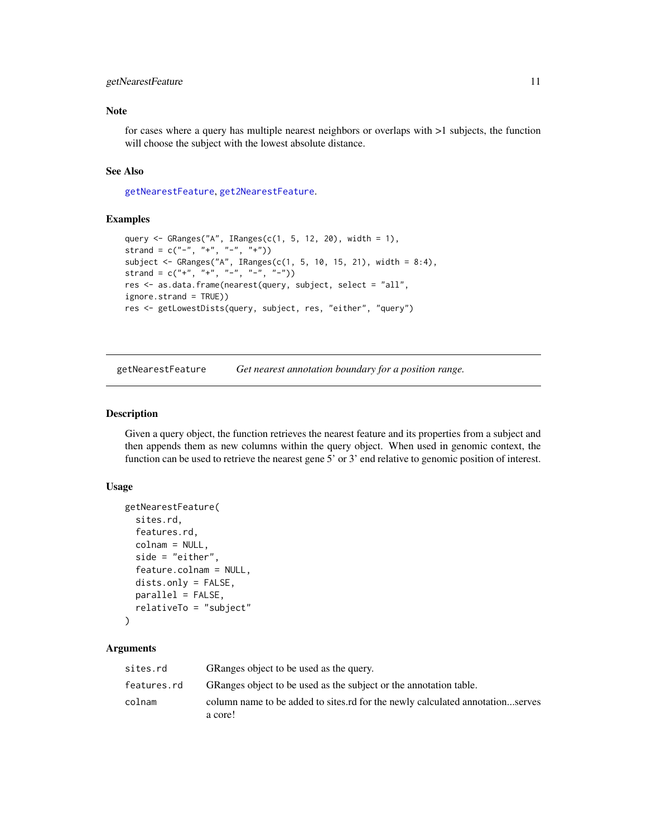# <span id="page-10-0"></span>getNearestFeature 11

# Note

for cases where a query has multiple nearest neighbors or overlaps with >1 subjects, the function will choose the subject with the lowest absolute distance.

# See Also

[getNearestFeature](#page-10-1), [get2NearestFeature](#page-4-1).

#### Examples

```
query <- GRanges("A", IRanges(c(1, 5, 12, 20), width = 1),
strand = c("^{-n}, "^{+n}, "^{-n}, "^{+n})subject \leq GRanges("A", IRanges(c(1, 5, 10, 15, 21), width = 8:4),
strand = c("+", "+", "-", "-", "-")res <- as.data.frame(nearest(query, subject, select = "all",
ignore.strand = TRUE))
res <- getLowestDists(query, subject, res, "either", "query")
```
<span id="page-10-1"></span>getNearestFeature *Get nearest annotation boundary for a position range.*

#### Description

Given a query object, the function retrieves the nearest feature and its properties from a subject and then appends them as new columns within the query object. When used in genomic context, the function can be used to retrieve the nearest gene 5' or 3' end relative to genomic position of interest.

# Usage

```
getNearestFeature(
  sites.rd,
  features.rd,
  colnam = NULL,
  side = "either",
  feature.colnam = NULL,
 dists.only = FALSE,
 parallel = FALSE,
  relativeTo = "subject"
)
```
#### Arguments

| sites.rd    | GRanges object to be used as the query.                                                  |
|-------------|------------------------------------------------------------------------------------------|
| features.rd | GRanges object to be used as the subject or the annotation table.                        |
| colnam      | column name to be added to sites.rd for the newly calculated annotationserves<br>a core! |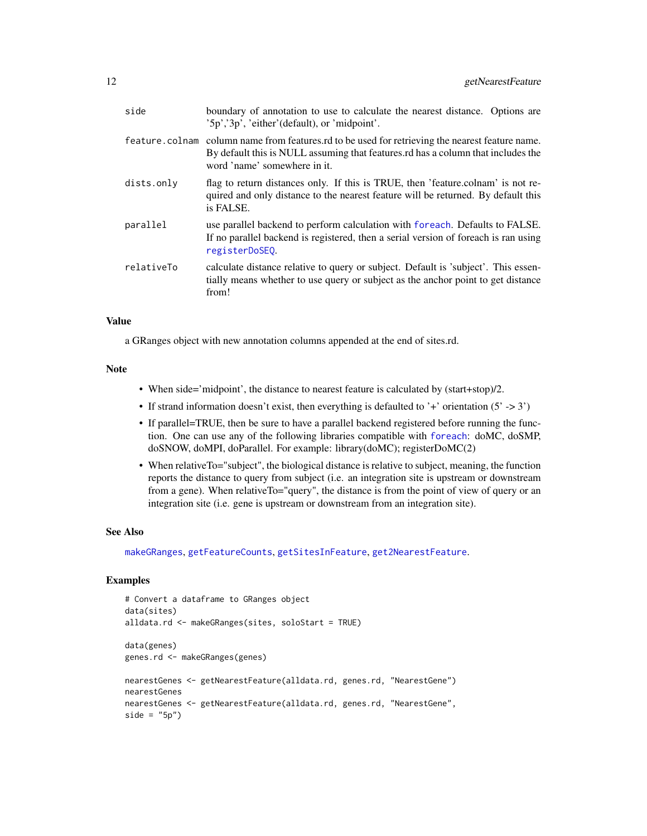<span id="page-11-0"></span>

| side       | boundary of annotation to use to calculate the nearest distance. Options are<br>$'5p'$ , $'3p'$ , 'either' (default), or 'midpoint'.                                                                                |
|------------|---------------------------------------------------------------------------------------------------------------------------------------------------------------------------------------------------------------------|
|            | feature colnam column name from features of to be used for retrieving the nearest feature name.<br>By default this is NULL assuming that features.rd has a column that includes the<br>word 'name' somewhere in it. |
| dists.only | flag to return distances only. If this is TRUE, then 'feature.colnam' is not re-<br>quired and only distance to the nearest feature will be returned. By default this<br>is FALSE.                                  |
| parallel   | use parallel backend to perform calculation with foreach. Defaults to FALSE.<br>If no parallel backend is registered, then a serial version of foreach is ran using<br>registerDoSEO.                               |
| relativeTo | calculate distance relative to query or subject. Default is 'subject'. This essen-<br>tially means whether to use query or subject as the anchor point to get distance<br>from!                                     |

# Value

a GRanges object with new annotation columns appended at the end of sites.rd.

#### Note

- When side='midpoint', the distance to nearest feature is calculated by (start+stop)/2.
- If strand information doesn't exist, then everything is defaulted to '+' orientation  $(5' > 3')$
- If parallel=TRUE, then be sure to have a parallel backend registered before running the function. One can use any of the following libraries compatible with [foreach](#page-0-0): doMC, doSMP, doSNOW, doMPI, doParallel. For example: library(doMC); registerDoMC(2)
- When relativeTo="subject", the biological distance is relative to subject, meaning, the function reports the distance to query from subject (i.e. an integration site is upstream or downstream from a gene). When relativeTo="query", the distance is from the point of view of query or an integration site (i.e. gene is upstream or downstream from an integration site).

# See Also

[makeGRanges](#page-18-1), [getFeatureCounts](#page-6-1), [getSitesInFeature](#page-13-1), [get2NearestFeature](#page-4-1).

```
# Convert a dataframe to GRanges object
data(sites)
alldata.rd <- makeGRanges(sites, soloStart = TRUE)
data(genes)
genes.rd <- makeGRanges(genes)
nearestGenes <- getNearestFeature(alldata.rd, genes.rd, "NearestGene")
nearestGenes
nearestGenes <- getNearestFeature(alldata.rd, genes.rd, "NearestGene",
side = "5p")
```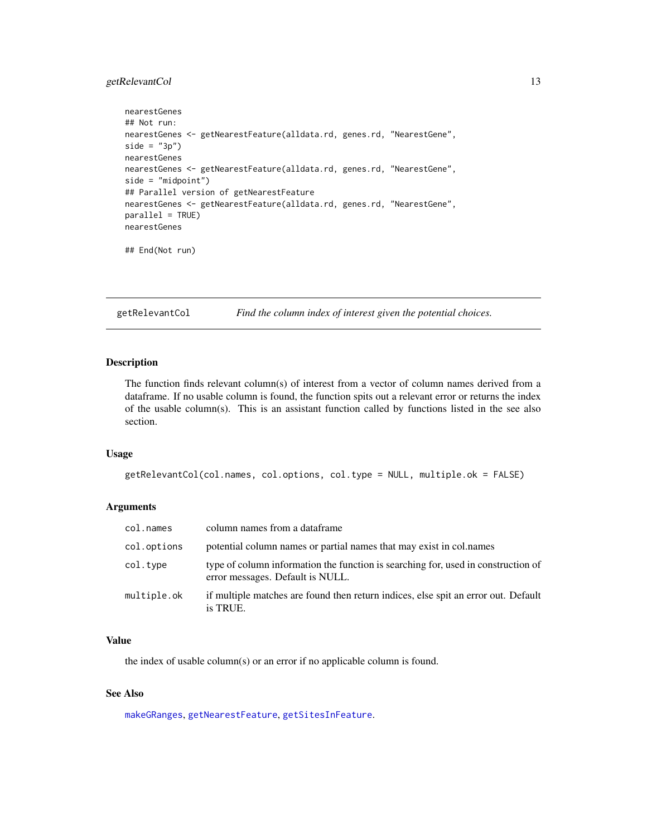# <span id="page-12-0"></span>getRelevantCol 13

```
nearestGenes
## Not run:
nearestGenes <- getNearestFeature(alldata.rd, genes.rd, "NearestGene",
side = "3p")nearestGenes
nearestGenes <- getNearestFeature(alldata.rd, genes.rd, "NearestGene",
side = "midpoint")
## Parallel version of getNearestFeature
nearestGenes <- getNearestFeature(alldata.rd, genes.rd, "NearestGene",
parallel = TRUE)
nearestGenes
```

```
## End(Not run)
```
getRelevantCol *Find the column index of interest given the potential choices.*

#### Description

The function finds relevant column(s) of interest from a vector of column names derived from a dataframe. If no usable column is found, the function spits out a relevant error or returns the index of the usable column(s). This is an assistant function called by functions listed in the see also section.

#### Usage

```
getRelevantCol(col.names, col.options, col.type = NULL, multiple.ok = FALSE)
```
#### Arguments

| col.names   | column names from a dataframe                                                                                         |
|-------------|-----------------------------------------------------------------------------------------------------------------------|
| col.options | potential column names or partial names that may exist in col. names                                                  |
| col.type    | type of column information the function is searching for, used in construction of<br>error messages. Default is NULL. |
| multiple.ok | if multiple matches are found then return indices, else spit an error out. Default<br>is TRUE.                        |

#### Value

the index of usable column(s) or an error if no applicable column is found.

# See Also

[makeGRanges](#page-18-1), [getNearestFeature](#page-10-1), [getSitesInFeature](#page-13-1).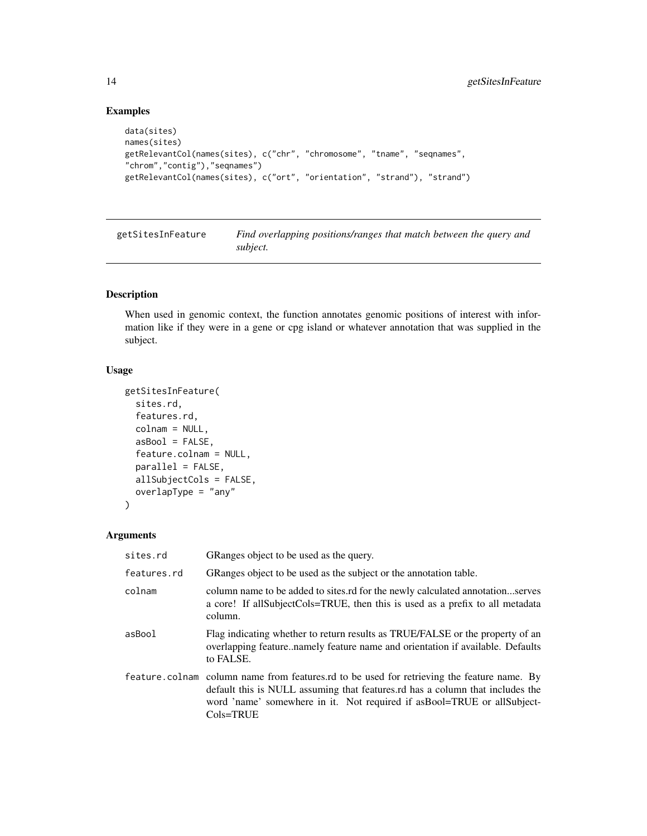# Examples

```
data(sites)
names(sites)
getRelevantCol(names(sites), c("chr", "chromosome", "tname", "seqnames",
"chrom","contig"),"seqnames")
getRelevantCol(names(sites), c("ort", "orientation", "strand"), "strand")
```
<span id="page-13-1"></span>getSitesInFeature *Find overlapping positions/ranges that match between the query and subject.*

# Description

When used in genomic context, the function annotates genomic positions of interest with information like if they were in a gene or cpg island or whatever annotation that was supplied in the subject.

#### Usage

```
getSitesInFeature(
  sites.rd,
  features.rd,
  colnam = NULL,
  asBool = FALSE,
  feature.colnam = NULL,
  parallel = FALSE,
  allSubjectCols = FALSE,
  overlapType = "any"
\mathcal{L}
```
# Arguments

| sites.rd    | GRanges object to be used as the query.                                                                                                                                                                                                                                   |  |  |  |
|-------------|---------------------------------------------------------------------------------------------------------------------------------------------------------------------------------------------------------------------------------------------------------------------------|--|--|--|
| features.rd | GRanges object to be used as the subject or the annotation table.                                                                                                                                                                                                         |  |  |  |
| colnam      | column name to be added to sites.rd for the newly calculated annotationserves<br>a core! If all Subject Cols=TRUE, then this is used as a prefix to all metadata<br>column.                                                                                               |  |  |  |
| asBool      | Flag indicating whether to return results as TRUE/FALSE or the property of an<br>overlapping featurenamely feature name and orientation if available. Defaults<br>to FALSE.                                                                                               |  |  |  |
|             | feature colnam column name from features rd to be used for retrieving the feature name. By<br>default this is NULL assuming that features.rd has a column that includes the<br>word 'name' somewhere in it. Not required if as Bool=TRUE or all Subject-<br>$Cols = TRUE$ |  |  |  |

<span id="page-13-0"></span>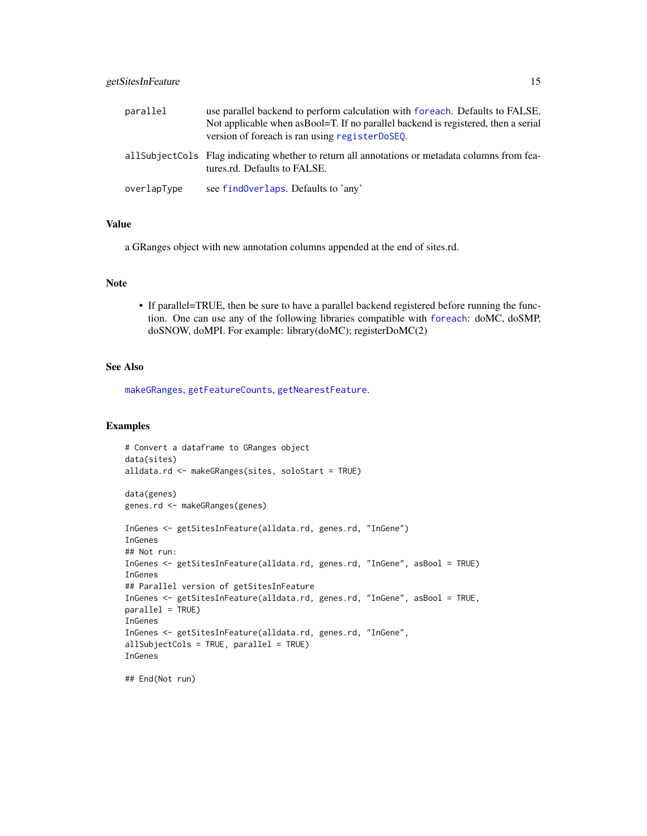# <span id="page-14-0"></span>getSitesInFeature 15

| parallel    | use parallel backend to perform calculation with foreach. Defaults to FALSE.<br>Not applicable when as Bool=T. If no parallel backend is registered, then a serial<br>version of foreach is ran using register DoSEQ. |
|-------------|-----------------------------------------------------------------------------------------------------------------------------------------------------------------------------------------------------------------------|
|             | all Subject Cols Flag indicating whether to return all annotations or metadata columns from fea-<br>tures.rd. Defaults to FALSE.                                                                                      |
| overlapType | see find Overlaps. Defaults to 'any'                                                                                                                                                                                  |

#### Value

a GRanges object with new annotation columns appended at the end of sites.rd.

# Note

• If parallel=TRUE, then be sure to have a parallel backend registered before running the function. One can use any of the following libraries compatible with [foreach](#page-0-0): doMC, doSMP, doSNOW, doMPI. For example: library(doMC); registerDoMC(2)

# See Also

[makeGRanges](#page-18-1), [getFeatureCounts](#page-6-1), [getNearestFeature](#page-10-1).

```
# Convert a dataframe to GRanges object
data(sites)
alldata.rd <- makeGRanges(sites, soloStart = TRUE)
data(genes)
genes.rd <- makeGRanges(genes)
InGenes <- getSitesInFeature(alldata.rd, genes.rd, "InGene")
InGenes
## Not run:
InGenes <- getSitesInFeature(alldata.rd, genes.rd, "InGene", asBool = TRUE)
InGenes
## Parallel version of getSitesInFeature
InGenes <- getSitesInFeature(alldata.rd, genes.rd, "InGene", asBool = TRUE,
parallel = TRUE)
InGenes
InGenes <- getSitesInFeature(alldata.rd, genes.rd, "InGene",
allSubjectCols = TRUE, parallel = TRUE)
InGenes
## End(Not run)
```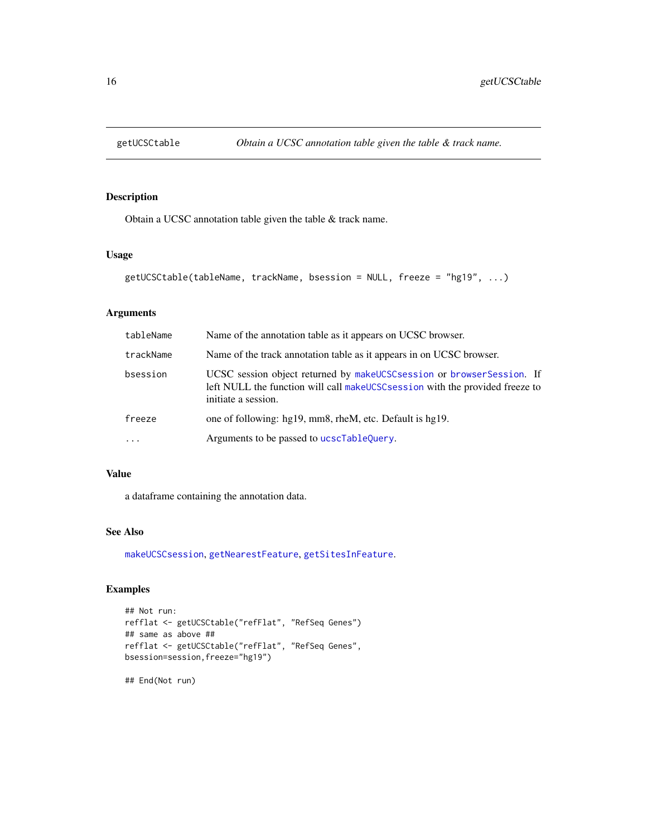<span id="page-15-1"></span><span id="page-15-0"></span>

Obtain a UCSC annotation table given the table & track name.

# Usage

```
getUCSCtable(tableName, trackName, bsession = NULL, freeze = "hg19", ...)
```
# Arguments

| tableName | Name of the annotation table as it appears on UCSC browser.                                                                                                                      |  |  |  |
|-----------|----------------------------------------------------------------------------------------------------------------------------------------------------------------------------------|--|--|--|
| trackName | Name of the track annotation table as it appears in on UCSC browser.                                                                                                             |  |  |  |
| bsession  | UCSC session object returned by makeUCSC session or browser Session. If<br>left NULL the function will call make UCSC session with the provided freeze to<br>initiate a session. |  |  |  |
| freeze    | one of following: hg19, mm8, rheM, etc. Default is hg19.                                                                                                                         |  |  |  |
| $\cdots$  | Arguments to be passed to ucscTableQuery.                                                                                                                                        |  |  |  |

# Value

a dataframe containing the annotation data.

# See Also

[makeUCSCsession](#page-19-1), [getNearestFeature](#page-10-1), [getSitesInFeature](#page-13-1).

# Examples

```
## Not run:
refflat <- getUCSCtable("refFlat", "RefSeq Genes")
## same as above ##
refflat <- getUCSCtable("refFlat", "RefSeq Genes",
bsession=session,freeze="hg19")
```
## End(Not run)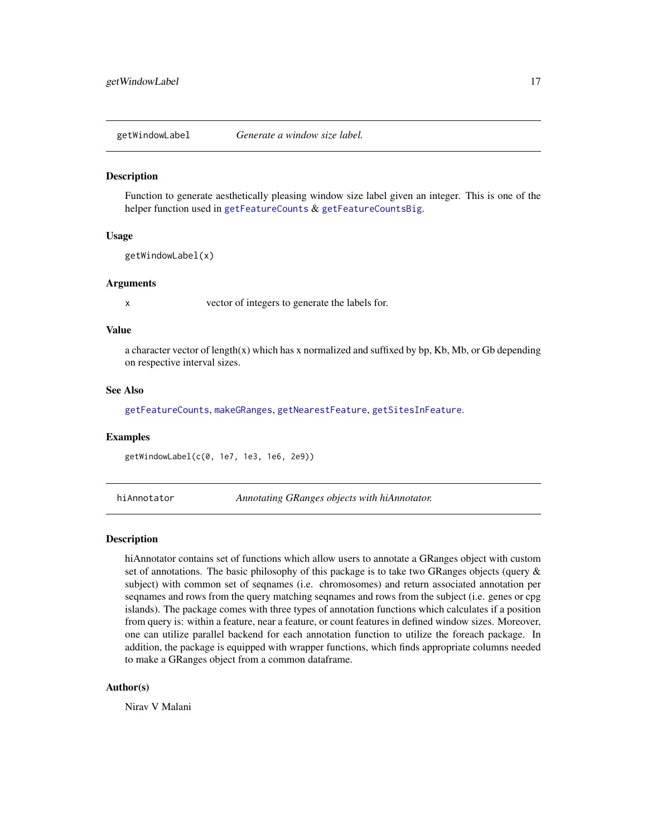<span id="page-16-0"></span>getWindowLabel *Generate a window size label.*

#### Description

Function to generate aesthetically pleasing window size label given an integer. This is one of the helper function used in [getFeatureCounts](#page-6-1) & [getFeatureCountsBig](#page-8-1).

# Usage

getWindowLabel(x)

#### Arguments

x vector of integers to generate the labels for.

# Value

a character vector of length(x) which has x normalized and suffixed by bp, Kb, Mb, or Gb depending on respective interval sizes.

#### See Also

[getFeatureCounts](#page-6-1), [makeGRanges](#page-18-1), [getNearestFeature](#page-10-1), [getSitesInFeature](#page-13-1).

#### Examples

getWindowLabel(c(0, 1e7, 1e3, 1e6, 2e9))

hiAnnotator *Annotating GRanges objects with hiAnnotator.*

# Description

hiAnnotator contains set of functions which allow users to annotate a GRanges object with custom set of annotations. The basic philosophy of this package is to take two GRanges objects (query  $\&$ subject) with common set of seqnames (i.e. chromosomes) and return associated annotation per seqnames and rows from the query matching seqnames and rows from the subject (i.e. genes or cpg islands). The package comes with three types of annotation functions which calculates if a position from query is: within a feature, near a feature, or count features in defined window sizes. Moreover, one can utilize parallel backend for each annotation function to utilize the foreach package. In addition, the package is equipped with wrapper functions, which finds appropriate columns needed to make a GRanges object from a common dataframe.

# Author(s)

Nirav V Malani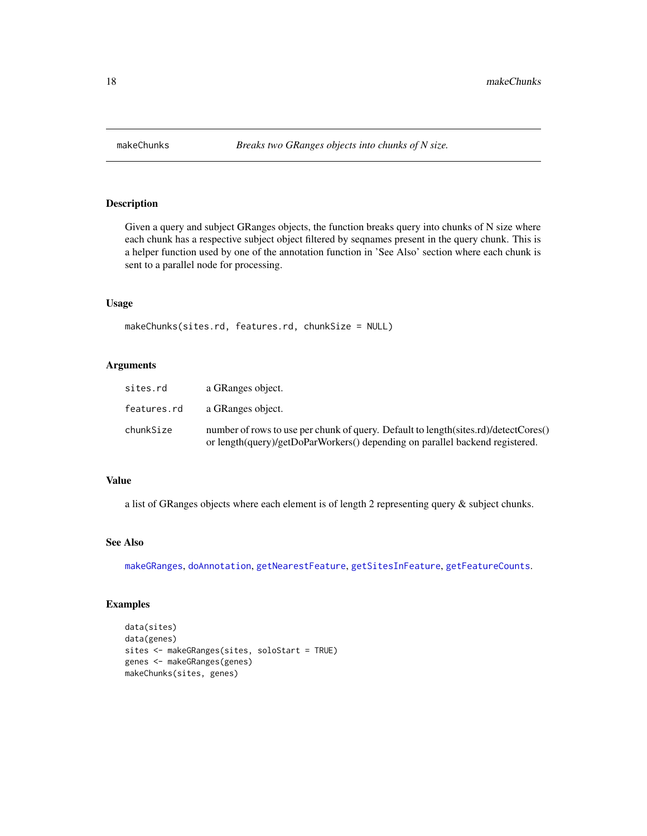<span id="page-17-0"></span>

Given a query and subject GRanges objects, the function breaks query into chunks of N size where each chunk has a respective subject object filtered by seqnames present in the query chunk. This is a helper function used by one of the annotation function in 'See Also' section where each chunk is sent to a parallel node for processing.

#### Usage

makeChunks(sites.rd, features.rd, chunkSize = NULL)

# Arguments

| sites.rd    | a GRanges object.                                                                                                                                                   |
|-------------|---------------------------------------------------------------------------------------------------------------------------------------------------------------------|
| features.rd | a GRanges object.                                                                                                                                                   |
| chunkSize   | number of rows to use per chunk of query. Default to length(sites.rd)/detectCores()<br>or length(query)/getDoParWorkers() depending on parallel backend registered. |

# Value

a list of GRanges objects where each element is of length 2 representing query & subject chunks.

# See Also

[makeGRanges](#page-18-1), [doAnnotation](#page-3-1), [getNearestFeature](#page-10-1), [getSitesInFeature](#page-13-1), [getFeatureCounts](#page-6-1).

```
data(sites)
data(genes)
sites <- makeGRanges(sites, soloStart = TRUE)
genes <- makeGRanges(genes)
makeChunks(sites, genes)
```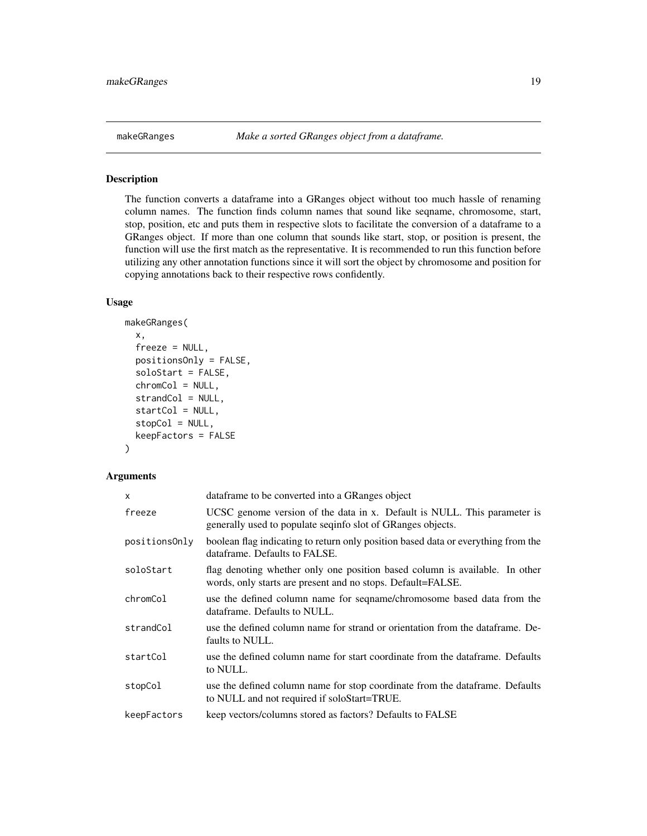<span id="page-18-1"></span><span id="page-18-0"></span>

The function converts a dataframe into a GRanges object without too much hassle of renaming column names. The function finds column names that sound like seqname, chromosome, start, stop, position, etc and puts them in respective slots to facilitate the conversion of a dataframe to a GRanges object. If more than one column that sounds like start, stop, or position is present, the function will use the first match as the representative. It is recommended to run this function before utilizing any other annotation functions since it will sort the object by chromosome and position for copying annotations back to their respective rows confidently.

# Usage

```
makeGRanges(
  x,
  freeze = NULL,
 positionsOnly = FALSE,
  soloStart = FALSE,
  chromCol = NULL,strandCol = NULL,
  startCol = NULL,
  stopCol = NULL,keepFactors = FALSE
)
```
# Arguments

| x             | dataframe to be converted into a GRanges object                                                                                            |  |  |  |  |
|---------------|--------------------------------------------------------------------------------------------------------------------------------------------|--|--|--|--|
| freeze        | UCSC genome version of the data in x. Default is NULL. This parameter is<br>generally used to populate seqinfo slot of GRanges objects.    |  |  |  |  |
| positionsOnly | boolean flag indicating to return only position based data or everything from the<br>dataframe. Defaults to FALSE.                         |  |  |  |  |
| soloStart     | flag denoting whether only one position based column is available. In other<br>words, only starts are present and no stops. Default=FALSE. |  |  |  |  |
| chromCol      | use the defined column name for seqname/chromosome based data from the<br>dataframe. Defaults to NULL.                                     |  |  |  |  |
| strandCol     | use the defined column name for strand or orientation from the dataframe. De-<br>faults to NULL.                                           |  |  |  |  |
| startCol      | use the defined column name for start coordinate from the dataframe. Defaults<br>to NULL.                                                  |  |  |  |  |
| stopCol       | use the defined column name for stop coordinate from the dataframe. Defaults<br>to NULL and not required if soloStart=TRUE.                |  |  |  |  |
| keepFactors   | keep vectors/columns stored as factors? Defaults to FALSE                                                                                  |  |  |  |  |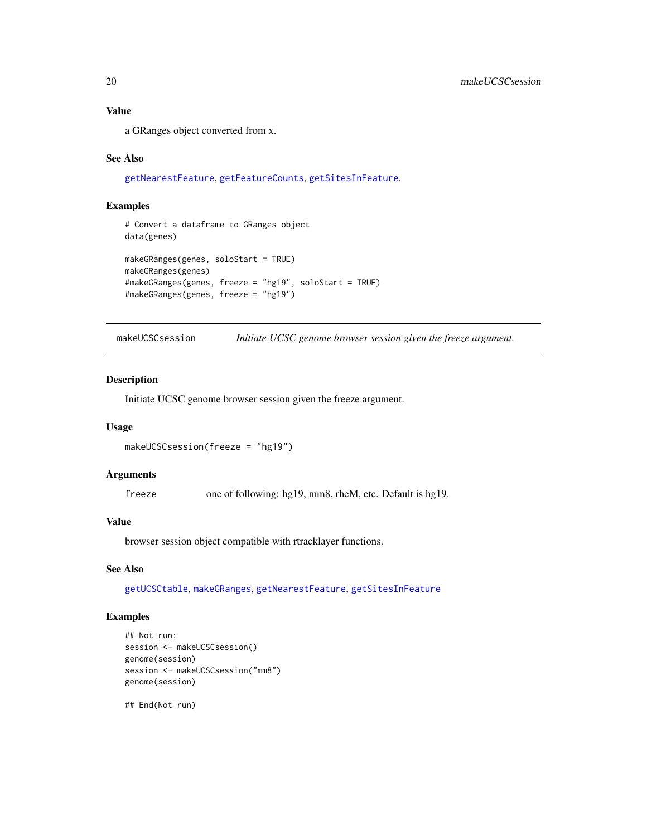# <span id="page-19-0"></span>Value

a GRanges object converted from x.

#### See Also

[getNearestFeature](#page-10-1), [getFeatureCounts](#page-6-1), [getSitesInFeature](#page-13-1).

# Examples

```
# Convert a dataframe to GRanges object
data(genes)
makeGRanges(genes, soloStart = TRUE)
makeGRanges(genes)
#makeGRanges(genes, freeze = "hg19", soloStart = TRUE)
#makeGRanges(genes, freeze = "hg19")
```
<span id="page-19-1"></span>makeUCSCsession *Initiate UCSC genome browser session given the freeze argument.*

# Description

Initiate UCSC genome browser session given the freeze argument.

#### Usage

makeUCSCsession(freeze = "hg19")

#### Arguments

freeze one of following: hg19, mm8, rheM, etc. Default is hg19.

# Value

browser session object compatible with rtracklayer functions.

# See Also

[getUCSCtable](#page-15-1), [makeGRanges](#page-18-1), [getNearestFeature](#page-10-1), [getSitesInFeature](#page-13-1)

# Examples

```
## Not run:
session <- makeUCSCsession()
genome(session)
session <- makeUCSCsession("mm8")
genome(session)
```
## End(Not run)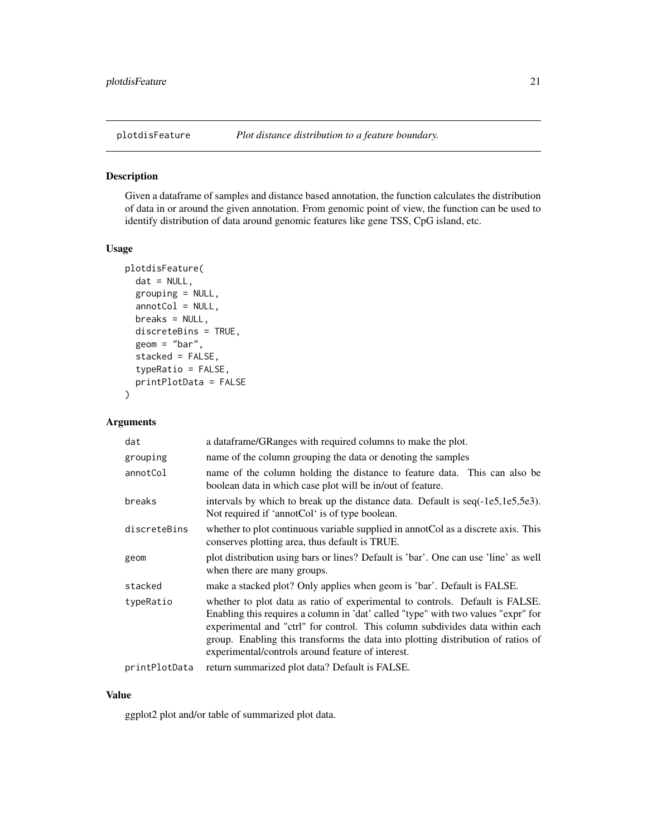<span id="page-20-0"></span>

Given a dataframe of samples and distance based annotation, the function calculates the distribution of data in or around the given annotation. From genomic point of view, the function can be used to identify distribution of data around genomic features like gene TSS, CpG island, etc.

# Usage

```
plotdisFeature(
  dat = NULL,grouping = NULL,
  annotCol = NULL,
 breaks = NULL,
  discreteBins = TRUE,
  geom = "bar",stacked = FALSE,
  typeRatio = FALSE,
  printPlotData = FALSE
)
```
# Arguments

| dat           | a dataframe/GRanges with required columns to make the plot.                                                                                                                                                                                                                                                                                                                                |  |  |  |
|---------------|--------------------------------------------------------------------------------------------------------------------------------------------------------------------------------------------------------------------------------------------------------------------------------------------------------------------------------------------------------------------------------------------|--|--|--|
| grouping      | name of the column grouping the data or denoting the samples                                                                                                                                                                                                                                                                                                                               |  |  |  |
| annotCol      | name of the column holding the distance to feature data. This can also be<br>boolean data in which case plot will be in/out of feature.                                                                                                                                                                                                                                                    |  |  |  |
| breaks        | intervals by which to break up the distance data. Default is seq(-1e5,1e5,5e3).<br>Not required if 'annotCol' is of type boolean.                                                                                                                                                                                                                                                          |  |  |  |
| discreteBins  | whether to plot continuous variable supplied in annot Col as a discrete axis. This<br>conserves plotting area, thus default is TRUE.                                                                                                                                                                                                                                                       |  |  |  |
| geom          | plot distribution using bars or lines? Default is 'bar'. One can use 'line' as well<br>when there are many groups.                                                                                                                                                                                                                                                                         |  |  |  |
| stacked       | make a stacked plot? Only applies when geom is 'bar'. Default is FALSE.                                                                                                                                                                                                                                                                                                                    |  |  |  |
| typeRatio     | whether to plot data as ratio of experimental to controls. Default is FALSE.<br>Enabling this requires a column in 'dat' called "type" with two values "expr" for<br>experimental and "ctrl" for control. This column subdivides data within each<br>group. Enabling this transforms the data into plotting distribution of ratios of<br>experimental/controls around feature of interest. |  |  |  |
| printPlotData | return summarized plot data? Default is FALSE.                                                                                                                                                                                                                                                                                                                                             |  |  |  |

# Value

ggplot2 plot and/or table of summarized plot data.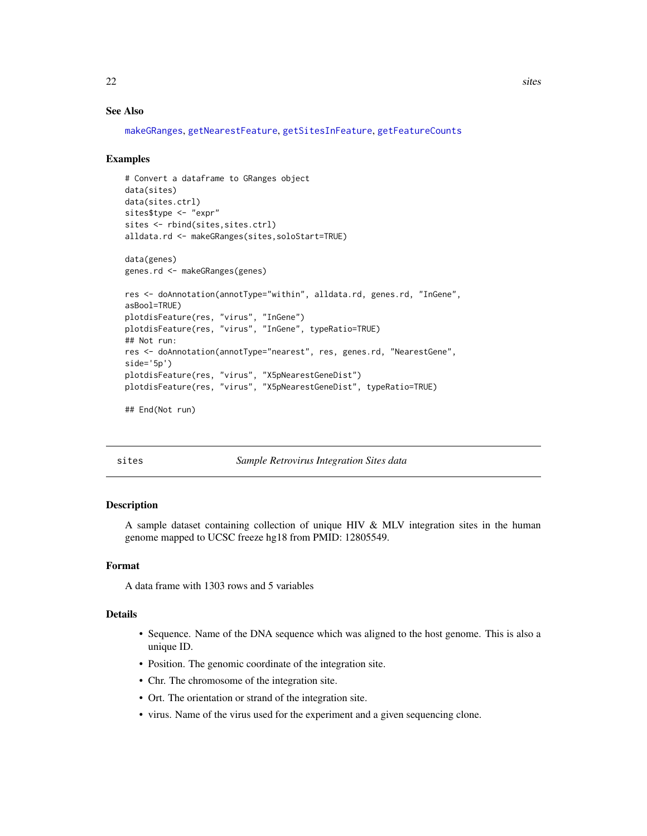# <span id="page-21-0"></span>See Also

```
makeGRanges, getNearestFeature, getSitesInFeature, getFeatureCounts
```
#### Examples

```
# Convert a dataframe to GRanges object
data(sites)
data(sites.ctrl)
sites$type <- "expr"
sites <- rbind(sites,sites.ctrl)
alldata.rd <- makeGRanges(sites,soloStart=TRUE)
```
data(genes) genes.rd <- makeGRanges(genes)

```
res <- doAnnotation(annotType="within", alldata.rd, genes.rd, "InGene",
asBool=TRUE)
plotdisFeature(res, "virus", "InGene")
plotdisFeature(res, "virus", "InGene", typeRatio=TRUE)
## Not run:
res <- doAnnotation(annotType="nearest", res, genes.rd, "NearestGene",
side='5p')
plotdisFeature(res, "virus", "X5pNearestGeneDist")
plotdisFeature(res, "virus", "X5pNearestGeneDist", typeRatio=TRUE)
```
## End(Not run)

Sample Retrovirus Integration Sites data

# Description

A sample dataset containing collection of unique HIV & MLV integration sites in the human genome mapped to UCSC freeze hg18 from PMID: 12805549.

#### Format

A data frame with 1303 rows and 5 variables

#### Details

- Sequence. Name of the DNA sequence which was aligned to the host genome. This is also a unique ID.
- Position. The genomic coordinate of the integration site.
- Chr. The chromosome of the integration site.
- Ort. The orientation or strand of the integration site.
- virus. Name of the virus used for the experiment and a given sequencing clone.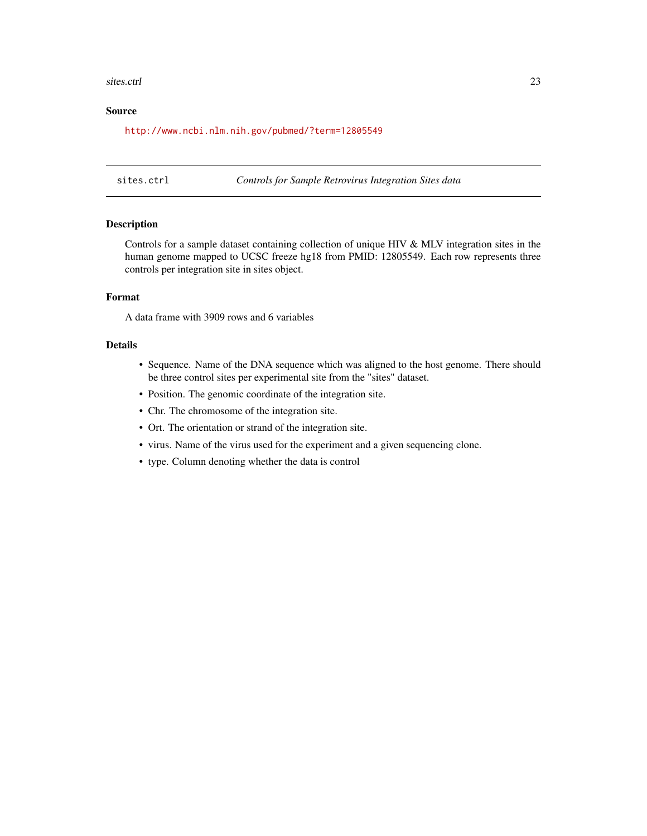#### <span id="page-22-0"></span>sites.ctrl 23

# Source

<http://www.ncbi.nlm.nih.gov/pubmed/?term=12805549>

sites.ctrl *Controls for Sample Retrovirus Integration Sites data*

# Description

Controls for a sample dataset containing collection of unique HIV & MLV integration sites in the human genome mapped to UCSC freeze hg18 from PMID: 12805549. Each row represents three controls per integration site in sites object.

# Format

A data frame with 3909 rows and 6 variables

# Details

- Sequence. Name of the DNA sequence which was aligned to the host genome. There should be three control sites per experimental site from the "sites" dataset.
- Position. The genomic coordinate of the integration site.
- Chr. The chromosome of the integration site.
- Ort. The orientation or strand of the integration site.
- virus. Name of the virus used for the experiment and a given sequencing clone.
- type. Column denoting whether the data is control